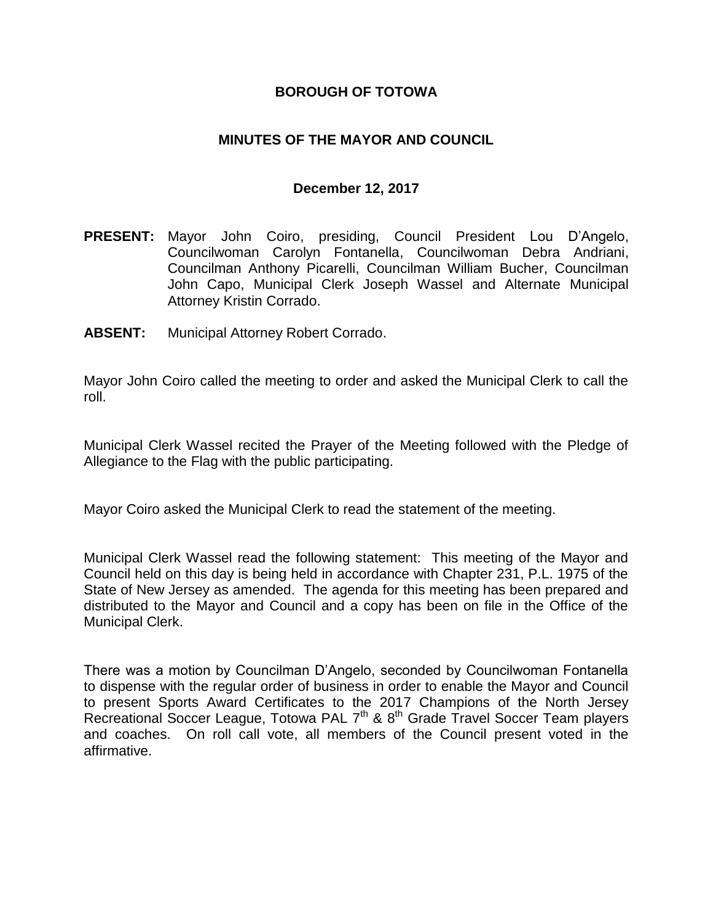## **BOROUGH OF TOTOWA**

## **MINUTES OF THE MAYOR AND COUNCIL**

### **December 12, 2017**

- **PRESENT:** Mayor John Coiro, presiding, Council President Lou D'Angelo, Councilwoman Carolyn Fontanella, Councilwoman Debra Andriani, Councilman Anthony Picarelli, Councilman William Bucher, Councilman John Capo, Municipal Clerk Joseph Wassel and Alternate Municipal Attorney Kristin Corrado.
- **ABSENT:** Municipal Attorney Robert Corrado.

Mayor John Coiro called the meeting to order and asked the Municipal Clerk to call the roll.

Municipal Clerk Wassel recited the Prayer of the Meeting followed with the Pledge of Allegiance to the Flag with the public participating.

Mayor Coiro asked the Municipal Clerk to read the statement of the meeting.

Municipal Clerk Wassel read the following statement: This meeting of the Mayor and Council held on this day is being held in accordance with Chapter 231, P.L. 1975 of the State of New Jersey as amended. The agenda for this meeting has been prepared and distributed to the Mayor and Council and a copy has been on file in the Office of the Municipal Clerk.

There was a motion by Councilman D'Angelo, seconded by Councilwoman Fontanella to dispense with the regular order of business in order to enable the Mayor and Council to present Sports Award Certificates to the 2017 Champions of the North Jersey Recreational Soccer League, Totowa PAL 7<sup>th</sup> & 8<sup>th</sup> Grade Travel Soccer Team players and coaches. On roll call vote, all members of the Council present voted in the affirmative.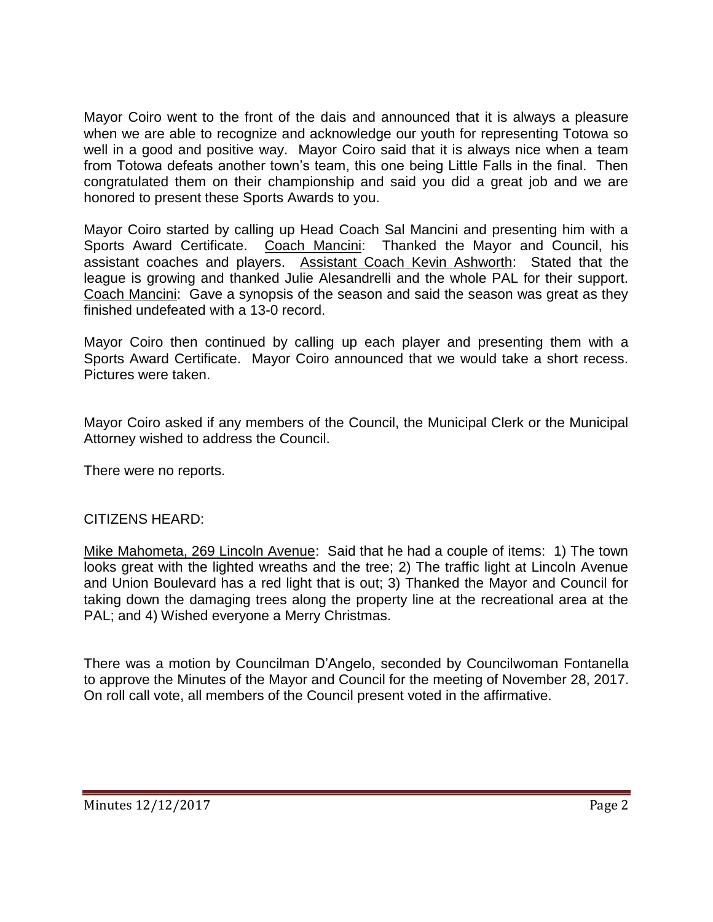Mayor Coiro went to the front of the dais and announced that it is always a pleasure when we are able to recognize and acknowledge our youth for representing Totowa so well in a good and positive way. Mayor Coiro said that it is always nice when a team from Totowa defeats another town's team, this one being Little Falls in the final. Then congratulated them on their championship and said you did a great job and we are honored to present these Sports Awards to you.

Mayor Coiro started by calling up Head Coach Sal Mancini and presenting him with a Sports Award Certificate. Coach Mancini: Thanked the Mayor and Council, his assistant coaches and players. Assistant Coach Kevin Ashworth: Stated that the league is growing and thanked Julie Alesandrelli and the whole PAL for their support. Coach Mancini: Gave a synopsis of the season and said the season was great as they finished undefeated with a 13-0 record.

Mayor Coiro then continued by calling up each player and presenting them with a Sports Award Certificate. Mayor Coiro announced that we would take a short recess. Pictures were taken.

Mayor Coiro asked if any members of the Council, the Municipal Clerk or the Municipal Attorney wished to address the Council.

There were no reports.

### CITIZENS HEARD:

Mike Mahometa, 269 Lincoln Avenue: Said that he had a couple of items: 1) The town looks great with the lighted wreaths and the tree; 2) The traffic light at Lincoln Avenue and Union Boulevard has a red light that is out; 3) Thanked the Mayor and Council for taking down the damaging trees along the property line at the recreational area at the PAL; and 4) Wished everyone a Merry Christmas.

There was a motion by Councilman D'Angelo, seconded by Councilwoman Fontanella to approve the Minutes of the Mayor and Council for the meeting of November 28, 2017. On roll call vote, all members of the Council present voted in the affirmative.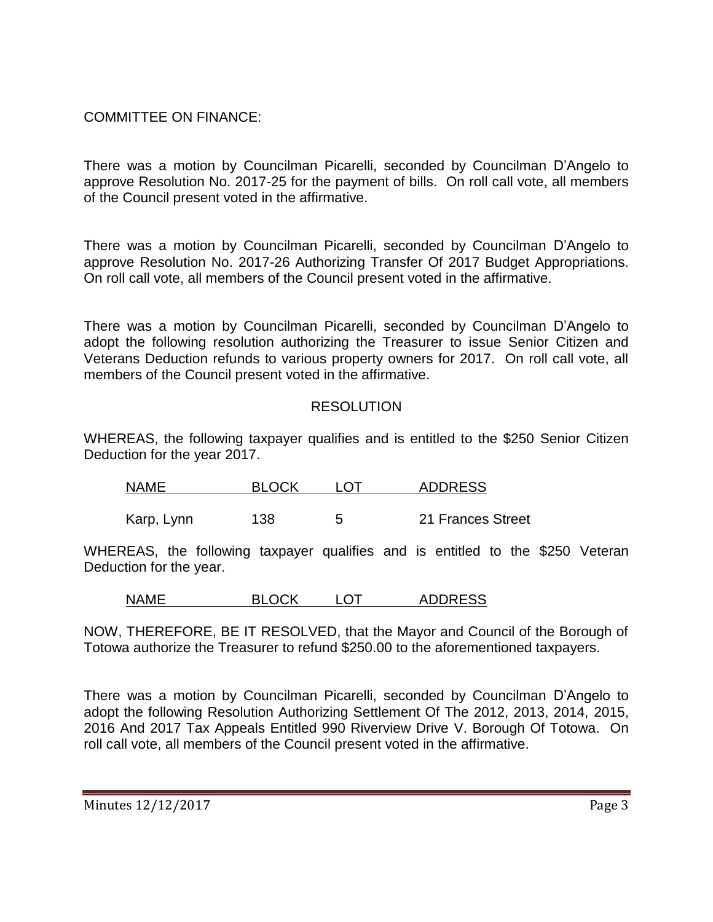# COMMITTEE ON FINANCE:

There was a motion by Councilman Picarelli, seconded by Councilman D'Angelo to approve Resolution No. 2017-25 for the payment of bills. On roll call vote, all members of the Council present voted in the affirmative.

There was a motion by Councilman Picarelli, seconded by Councilman D'Angelo to approve Resolution No. 2017-26 Authorizing Transfer Of 2017 Budget Appropriations. On roll call vote, all members of the Council present voted in the affirmative.

There was a motion by Councilman Picarelli, seconded by Councilman D'Angelo to adopt the following resolution authorizing the Treasurer to issue Senior Citizen and Veterans Deduction refunds to various property owners for 2017. On roll call vote, all members of the Council present voted in the affirmative.

## RESOLUTION

WHEREAS, the following taxpayer qualifies and is entitled to the \$250 Senior Citizen Deduction for the year 2017.

| <b>NAME</b> | BI OCK | <b>ADDRESS</b>    |
|-------------|--------|-------------------|
|             |        |                   |
| Karp, Lynn  | 138    | 21 Frances Street |

WHEREAS, the following taxpayer qualifies and is entitled to the \$250 Veteran Deduction for the year.

| <b>NAME</b> | <b>BLOCK</b> | _OT | <b>ADDRESS</b> |
|-------------|--------------|-----|----------------|
|             |              |     |                |

NOW, THEREFORE, BE IT RESOLVED, that the Mayor and Council of the Borough of Totowa authorize the Treasurer to refund \$250.00 to the aforementioned taxpayers.

There was a motion by Councilman Picarelli, seconded by Councilman D'Angelo to adopt the following Resolution Authorizing Settlement Of The 2012, 2013, 2014, 2015, 2016 And 2017 Tax Appeals Entitled 990 Riverview Drive V. Borough Of Totowa. On roll call vote, all members of the Council present voted in the affirmative.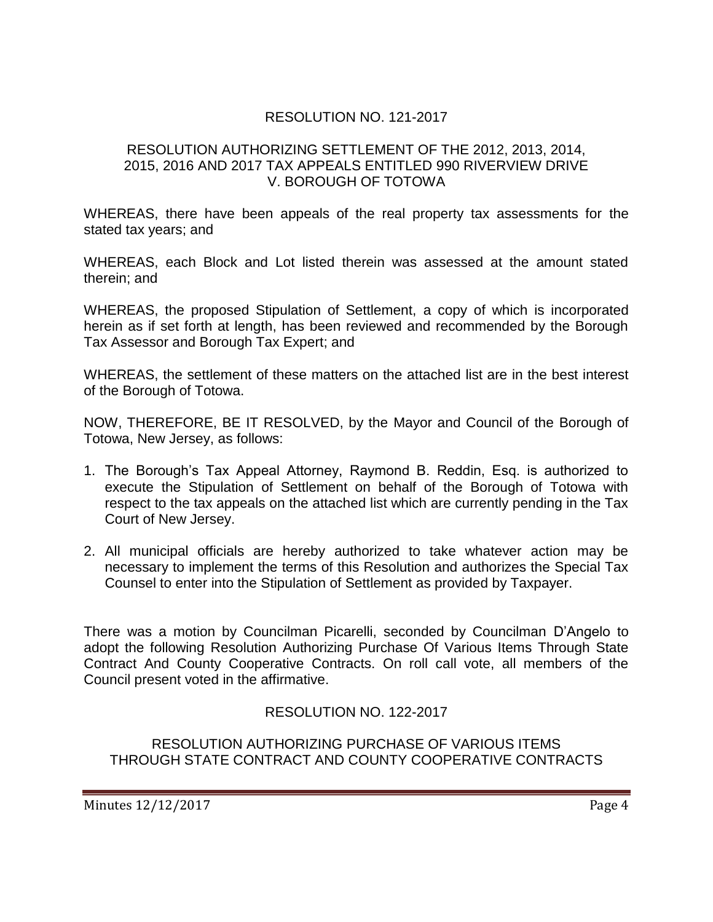# RESOLUTION NO. 121-2017

### RESOLUTION AUTHORIZING SETTLEMENT OF THE 2012, 2013, 2014, 2015, 2016 AND 2017 TAX APPEALS ENTITLED 990 RIVERVIEW DRIVE V. BOROUGH OF TOTOWA

WHEREAS, there have been appeals of the real property tax assessments for the stated tax years; and

WHEREAS, each Block and Lot listed therein was assessed at the amount stated therein; and

WHEREAS, the proposed Stipulation of Settlement, a copy of which is incorporated herein as if set forth at length, has been reviewed and recommended by the Borough Tax Assessor and Borough Tax Expert; and

WHEREAS, the settlement of these matters on the attached list are in the best interest of the Borough of Totowa.

NOW, THEREFORE, BE IT RESOLVED, by the Mayor and Council of the Borough of Totowa, New Jersey, as follows:

- 1. The Borough's Tax Appeal Attorney, Raymond B. Reddin, Esq. is authorized to execute the Stipulation of Settlement on behalf of the Borough of Totowa with respect to the tax appeals on the attached list which are currently pending in the Tax Court of New Jersey.
- 2. All municipal officials are hereby authorized to take whatever action may be necessary to implement the terms of this Resolution and authorizes the Special Tax Counsel to enter into the Stipulation of Settlement as provided by Taxpayer.

There was a motion by Councilman Picarelli, seconded by Councilman D'Angelo to adopt the following Resolution Authorizing Purchase Of Various Items Through State Contract And County Cooperative Contracts. On roll call vote, all members of the Council present voted in the affirmative.

RESOLUTION NO. 122-2017

### RESOLUTION AUTHORIZING PURCHASE OF VARIOUS ITEMS THROUGH STATE CONTRACT AND COUNTY COOPERATIVE CONTRACTS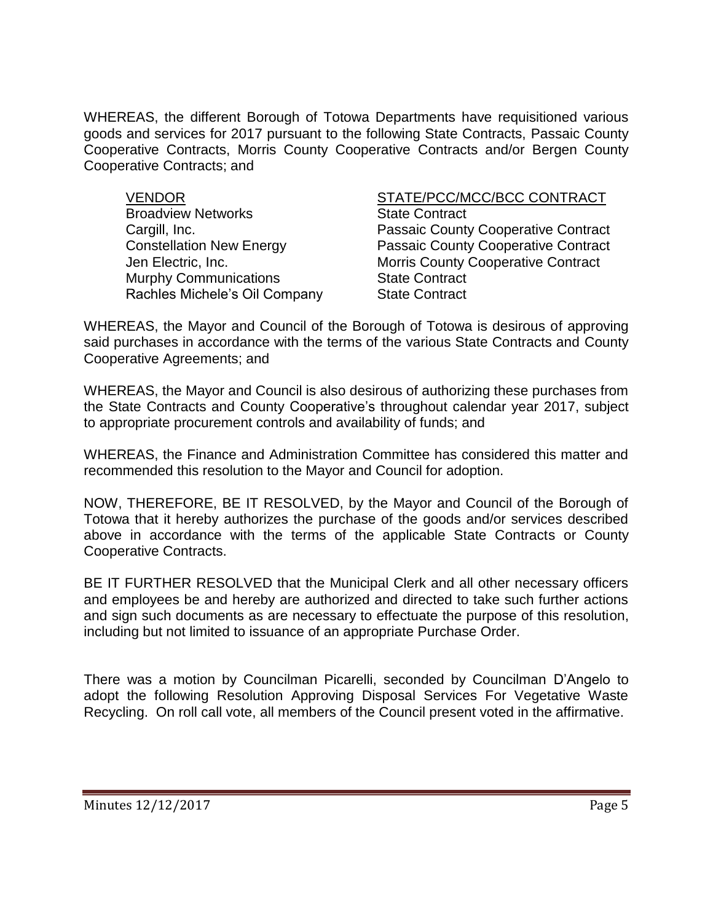WHEREAS, the different Borough of Totowa Departments have requisitioned various goods and services for 2017 pursuant to the following State Contracts, Passaic County Cooperative Contracts, Morris County Cooperative Contracts and/or Bergen County Cooperative Contracts; and

**Broadview Networks State Contract** Murphy Communications **State Contract** Rachles Michele's Oil Company State Contract

VENDOR STATE/PCC/MCC/BCC CONTRACT Cargill, Inc. **Passaic County Cooperative Contract** Constellation New Energy Passaic County Cooperative Contract Jen Electric, Inc. Morris County Cooperative Contract

WHEREAS, the Mayor and Council of the Borough of Totowa is desirous of approving said purchases in accordance with the terms of the various State Contracts and County Cooperative Agreements; and

WHEREAS, the Mayor and Council is also desirous of authorizing these purchases from the State Contracts and County Cooperative's throughout calendar year 2017, subject to appropriate procurement controls and availability of funds; and

WHEREAS, the Finance and Administration Committee has considered this matter and recommended this resolution to the Mayor and Council for adoption.

NOW, THEREFORE, BE IT RESOLVED, by the Mayor and Council of the Borough of Totowa that it hereby authorizes the purchase of the goods and/or services described above in accordance with the terms of the applicable State Contracts or County Cooperative Contracts.

BE IT FURTHER RESOLVED that the Municipal Clerk and all other necessary officers and employees be and hereby are authorized and directed to take such further actions and sign such documents as are necessary to effectuate the purpose of this resolution, including but not limited to issuance of an appropriate Purchase Order.

There was a motion by Councilman Picarelli, seconded by Councilman D'Angelo to adopt the following Resolution Approving Disposal Services For Vegetative Waste Recycling. On roll call vote, all members of the Council present voted in the affirmative.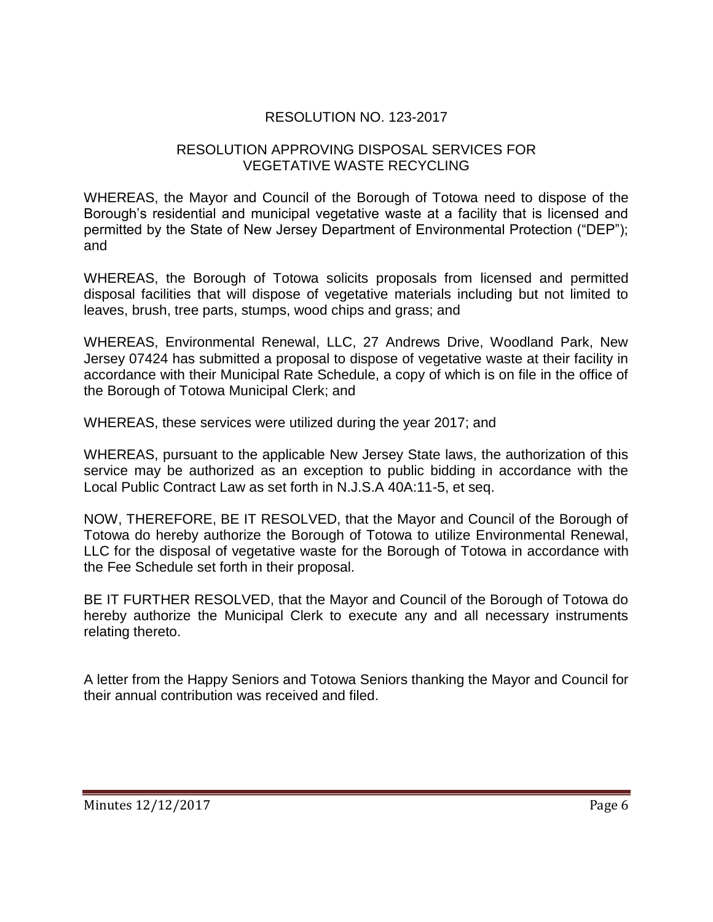# RESOLUTION NO. 123-2017

## RESOLUTION APPROVING DISPOSAL SERVICES FOR VEGETATIVE WASTE RECYCLING

WHEREAS, the Mayor and Council of the Borough of Totowa need to dispose of the Borough's residential and municipal vegetative waste at a facility that is licensed and permitted by the State of New Jersey Department of Environmental Protection ("DEP"); and

WHEREAS, the Borough of Totowa solicits proposals from licensed and permitted disposal facilities that will dispose of vegetative materials including but not limited to leaves, brush, tree parts, stumps, wood chips and grass; and

WHEREAS, Environmental Renewal, LLC, 27 Andrews Drive, Woodland Park, New Jersey 07424 has submitted a proposal to dispose of vegetative waste at their facility in accordance with their Municipal Rate Schedule, a copy of which is on file in the office of the Borough of Totowa Municipal Clerk; and

WHEREAS, these services were utilized during the year 2017; and

WHEREAS, pursuant to the applicable New Jersey State laws, the authorization of this service may be authorized as an exception to public bidding in accordance with the Local Public Contract Law as set forth in N.J.S.A 40A:11-5, et seq.

NOW, THEREFORE, BE IT RESOLVED, that the Mayor and Council of the Borough of Totowa do hereby authorize the Borough of Totowa to utilize Environmental Renewal, LLC for the disposal of vegetative waste for the Borough of Totowa in accordance with the Fee Schedule set forth in their proposal.

BE IT FURTHER RESOLVED, that the Mayor and Council of the Borough of Totowa do hereby authorize the Municipal Clerk to execute any and all necessary instruments relating thereto.

A letter from the Happy Seniors and Totowa Seniors thanking the Mayor and Council for their annual contribution was received and filed.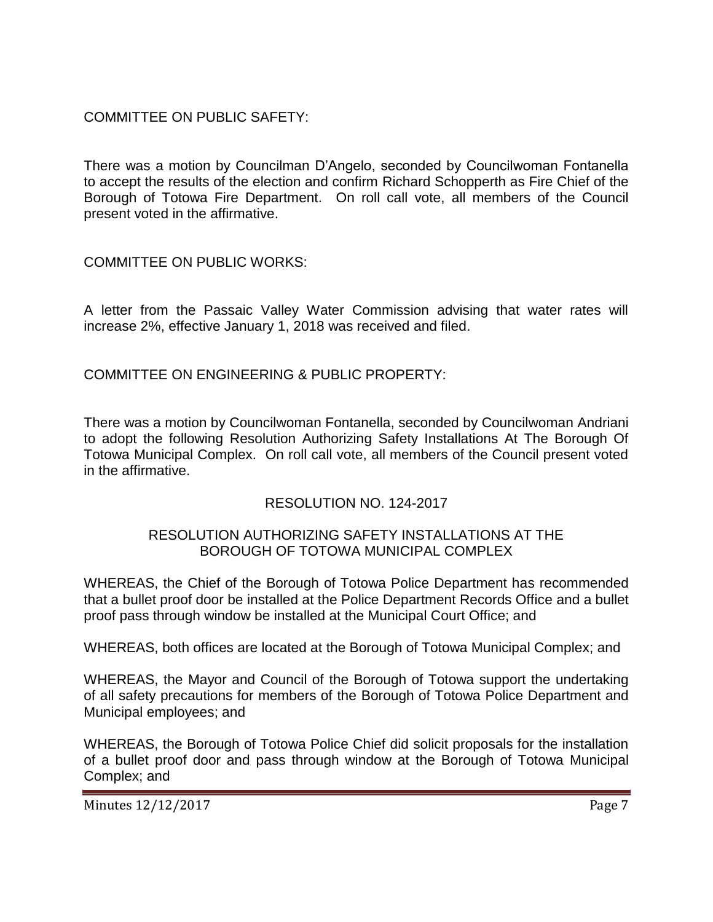COMMITTEE ON PUBLIC SAFETY:

There was a motion by Councilman D'Angelo, seconded by Councilwoman Fontanella to accept the results of the election and confirm Richard Schopperth as Fire Chief of the Borough of Totowa Fire Department. On roll call vote, all members of the Council present voted in the affirmative.

COMMITTEE ON PUBLIC WORKS:

A letter from the Passaic Valley Water Commission advising that water rates will increase 2%, effective January 1, 2018 was received and filed.

COMMITTEE ON ENGINEERING & PUBLIC PROPERTY:

There was a motion by Councilwoman Fontanella, seconded by Councilwoman Andriani to adopt the following Resolution Authorizing Safety Installations At The Borough Of Totowa Municipal Complex. On roll call vote, all members of the Council present voted in the affirmative.

RESOLUTION NO. 124-2017

## RESOLUTION AUTHORIZING SAFETY INSTALLATIONS AT THE BOROUGH OF TOTOWA MUNICIPAL COMPLEX

WHEREAS, the Chief of the Borough of Totowa Police Department has recommended that a bullet proof door be installed at the Police Department Records Office and a bullet proof pass through window be installed at the Municipal Court Office; and

WHEREAS, both offices are located at the Borough of Totowa Municipal Complex; and

WHEREAS, the Mayor and Council of the Borough of Totowa support the undertaking of all safety precautions for members of the Borough of Totowa Police Department and Municipal employees; and

WHEREAS, the Borough of Totowa Police Chief did solicit proposals for the installation of a bullet proof door and pass through window at the Borough of Totowa Municipal Complex; and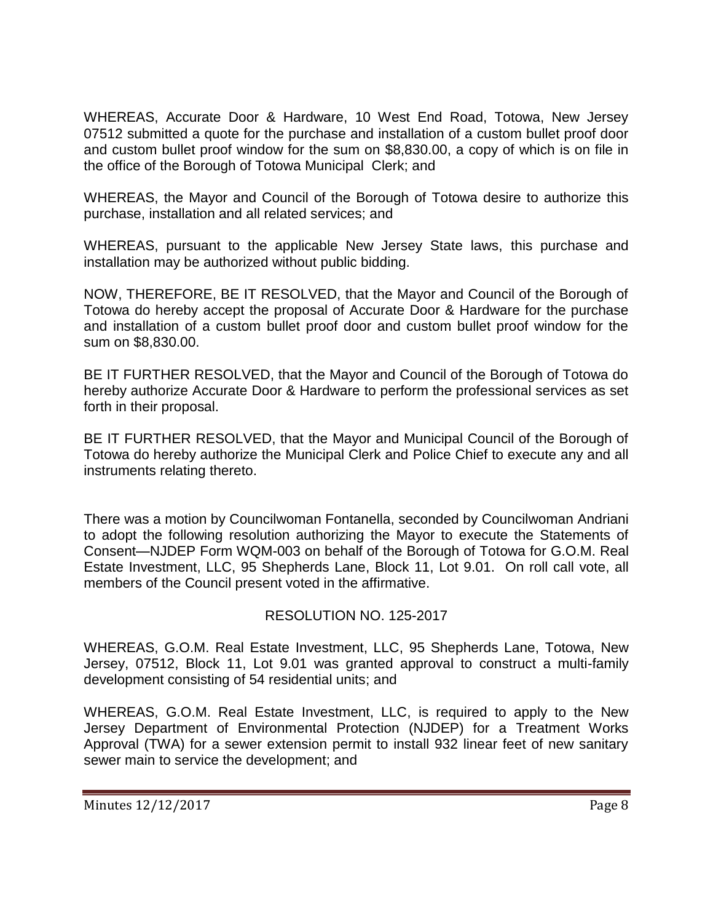WHEREAS, Accurate Door & Hardware, 10 West End Road, Totowa, New Jersey 07512 submitted a quote for the purchase and installation of a custom bullet proof door and custom bullet proof window for the sum on \$8,830.00, a copy of which is on file in the office of the Borough of Totowa Municipal Clerk; and

WHEREAS, the Mayor and Council of the Borough of Totowa desire to authorize this purchase, installation and all related services; and

WHEREAS, pursuant to the applicable New Jersey State laws, this purchase and installation may be authorized without public bidding.

NOW, THEREFORE, BE IT RESOLVED, that the Mayor and Council of the Borough of Totowa do hereby accept the proposal of Accurate Door & Hardware for the purchase and installation of a custom bullet proof door and custom bullet proof window for the sum on \$8,830.00.

BE IT FURTHER RESOLVED, that the Mayor and Council of the Borough of Totowa do hereby authorize Accurate Door & Hardware to perform the professional services as set forth in their proposal.

BE IT FURTHER RESOLVED, that the Mayor and Municipal Council of the Borough of Totowa do hereby authorize the Municipal Clerk and Police Chief to execute any and all instruments relating thereto.

There was a motion by Councilwoman Fontanella, seconded by Councilwoman Andriani to adopt the following resolution authorizing the Mayor to execute the Statements of Consent—NJDEP Form WQM-003 on behalf of the Borough of Totowa for G.O.M. Real Estate Investment, LLC, 95 Shepherds Lane, Block 11, Lot 9.01. On roll call vote, all members of the Council present voted in the affirmative.

# RESOLUTION NO. 125-2017

WHEREAS, G.O.M. Real Estate Investment, LLC, 95 Shepherds Lane, Totowa, New Jersey, 07512, Block 11, Lot 9.01 was granted approval to construct a multi-family development consisting of 54 residential units; and

WHEREAS, G.O.M. Real Estate Investment, LLC, is required to apply to the New Jersey Department of Environmental Protection (NJDEP) for a Treatment Works Approval (TWA) for a sewer extension permit to install 932 linear feet of new sanitary sewer main to service the development; and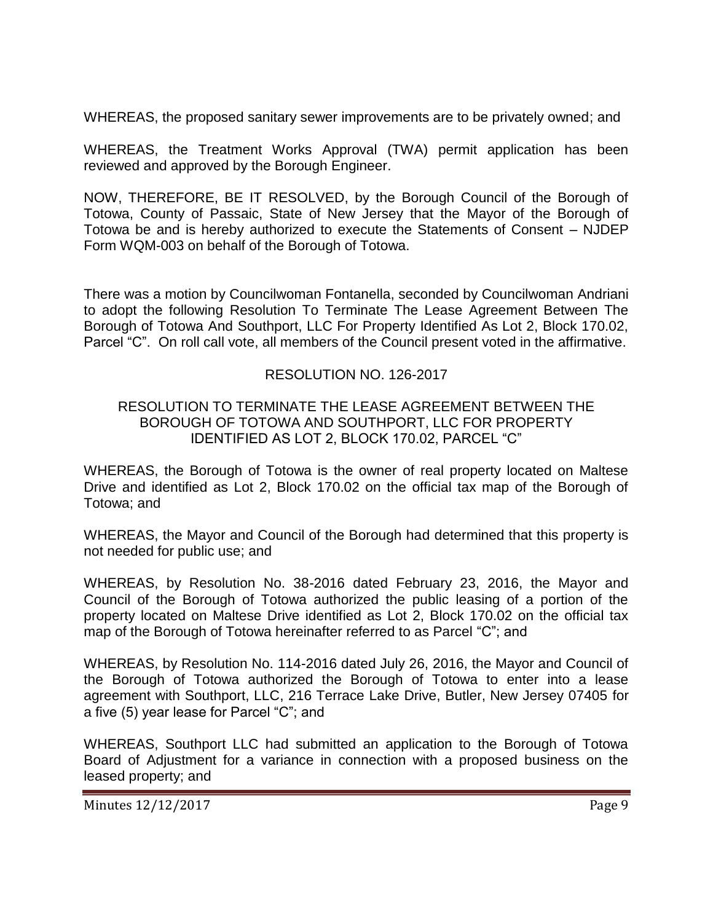WHEREAS, the proposed sanitary sewer improvements are to be privately owned; and

WHEREAS, the Treatment Works Approval (TWA) permit application has been reviewed and approved by the Borough Engineer.

NOW, THEREFORE, BE IT RESOLVED, by the Borough Council of the Borough of Totowa, County of Passaic, State of New Jersey that the Mayor of the Borough of Totowa be and is hereby authorized to execute the Statements of Consent – NJDEP Form WQM-003 on behalf of the Borough of Totowa.

There was a motion by Councilwoman Fontanella, seconded by Councilwoman Andriani to adopt the following Resolution To Terminate The Lease Agreement Between The Borough of Totowa And Southport, LLC For Property Identified As Lot 2, Block 170.02, Parcel "C". On roll call vote, all members of the Council present voted in the affirmative.

# RESOLUTION NO. 126-2017

## RESOLUTION TO TERMINATE THE LEASE AGREEMENT BETWEEN THE BOROUGH OF TOTOWA AND SOUTHPORT, LLC FOR PROPERTY IDENTIFIED AS LOT 2, BLOCK 170.02, PARCEL "C"

WHEREAS, the Borough of Totowa is the owner of real property located on Maltese Drive and identified as Lot 2, Block 170.02 on the official tax map of the Borough of Totowa; and

WHEREAS, the Mayor and Council of the Borough had determined that this property is not needed for public use; and

WHEREAS, by Resolution No. 38-2016 dated February 23, 2016, the Mayor and Council of the Borough of Totowa authorized the public leasing of a portion of the property located on Maltese Drive identified as Lot 2, Block 170.02 on the official tax map of the Borough of Totowa hereinafter referred to as Parcel "C"; and

WHEREAS, by Resolution No. 114-2016 dated July 26, 2016, the Mayor and Council of the Borough of Totowa authorized the Borough of Totowa to enter into a lease agreement with Southport, LLC, 216 Terrace Lake Drive, Butler, New Jersey 07405 for a five (5) year lease for Parcel "C"; and

WHEREAS, Southport LLC had submitted an application to the Borough of Totowa Board of Adjustment for a variance in connection with a proposed business on the leased property; and

Minutes 12/12/2017 Page 9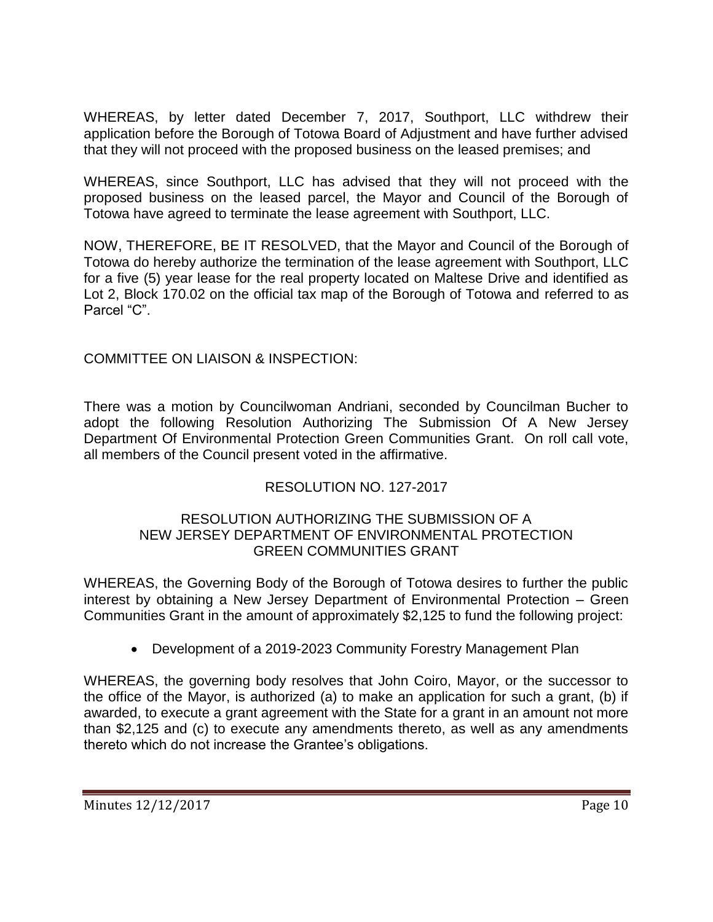WHEREAS, by letter dated December 7, 2017, Southport, LLC withdrew their application before the Borough of Totowa Board of Adjustment and have further advised that they will not proceed with the proposed business on the leased premises; and

WHEREAS, since Southport, LLC has advised that they will not proceed with the proposed business on the leased parcel, the Mayor and Council of the Borough of Totowa have agreed to terminate the lease agreement with Southport, LLC.

NOW, THEREFORE, BE IT RESOLVED, that the Mayor and Council of the Borough of Totowa do hereby authorize the termination of the lease agreement with Southport, LLC for a five (5) year lease for the real property located on Maltese Drive and identified as Lot 2, Block 170.02 on the official tax map of the Borough of Totowa and referred to as Parcel "C".

# COMMITTEE ON LIAISON & INSPECTION:

There was a motion by Councilwoman Andriani, seconded by Councilman Bucher to adopt the following Resolution Authorizing The Submission Of A New Jersey Department Of Environmental Protection Green Communities Grant. On roll call vote, all members of the Council present voted in the affirmative.

# RESOLUTION NO. 127-2017

### RESOLUTION AUTHORIZING THE SUBMISSION OF A NEW JERSEY DEPARTMENT OF ENVIRONMENTAL PROTECTION GREEN COMMUNITIES GRANT

WHEREAS, the Governing Body of the Borough of Totowa desires to further the public interest by obtaining a New Jersey Department of Environmental Protection – Green Communities Grant in the amount of approximately \$2,125 to fund the following project:

Development of a 2019-2023 Community Forestry Management Plan

WHEREAS, the governing body resolves that John Coiro, Mayor, or the successor to the office of the Mayor, is authorized (a) to make an application for such a grant, (b) if awarded, to execute a grant agreement with the State for a grant in an amount not more than \$2,125 and (c) to execute any amendments thereto, as well as any amendments thereto which do not increase the Grantee's obligations.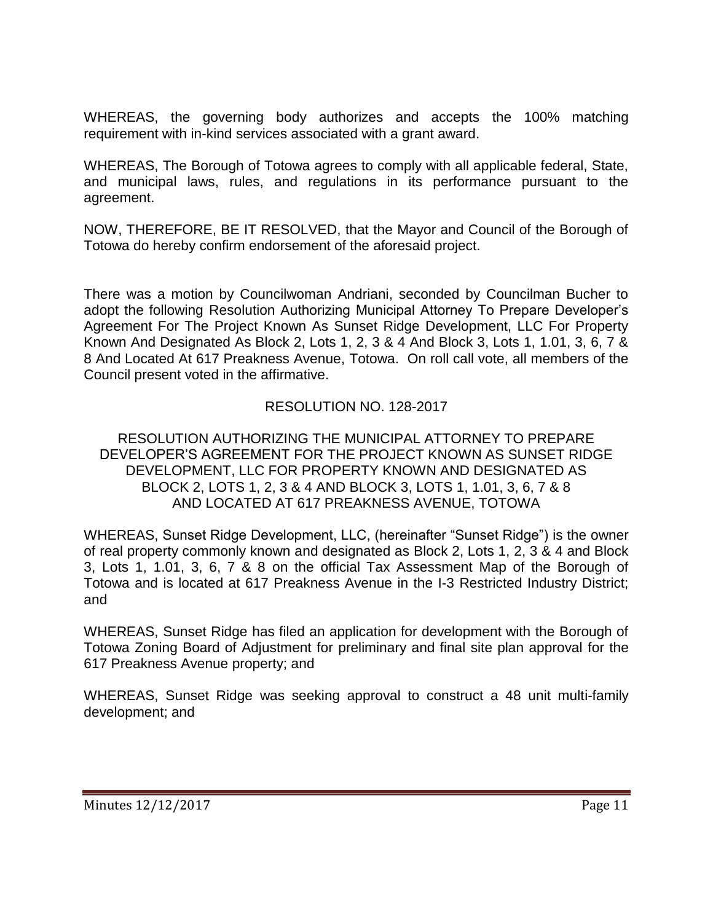WHEREAS, the governing body authorizes and accepts the 100% matching requirement with in-kind services associated with a grant award.

WHEREAS, The Borough of Totowa agrees to comply with all applicable federal, State, and municipal laws, rules, and regulations in its performance pursuant to the agreement.

NOW, THEREFORE, BE IT RESOLVED, that the Mayor and Council of the Borough of Totowa do hereby confirm endorsement of the aforesaid project.

There was a motion by Councilwoman Andriani, seconded by Councilman Bucher to adopt the following Resolution Authorizing Municipal Attorney To Prepare Developer's Agreement For The Project Known As Sunset Ridge Development, LLC For Property Known And Designated As Block 2, Lots 1, 2, 3 & 4 And Block 3, Lots 1, 1.01, 3, 6, 7 & 8 And Located At 617 Preakness Avenue, Totowa. On roll call vote, all members of the Council present voted in the affirmative.

# RESOLUTION NO. 128-2017

### RESOLUTION AUTHORIZING THE MUNICIPAL ATTORNEY TO PREPARE DEVELOPER'S AGREEMENT FOR THE PROJECT KNOWN AS SUNSET RIDGE DEVELOPMENT, LLC FOR PROPERTY KNOWN AND DESIGNATED AS BLOCK 2, LOTS 1, 2, 3 & 4 AND BLOCK 3, LOTS 1, 1.01, 3, 6, 7 & 8 AND LOCATED AT 617 PREAKNESS AVENUE, TOTOWA

WHEREAS, Sunset Ridge Development, LLC, (hereinafter "Sunset Ridge") is the owner of real property commonly known and designated as Block 2, Lots 1, 2, 3 & 4 and Block 3, Lots 1, 1.01, 3, 6, 7 & 8 on the official Tax Assessment Map of the Borough of Totowa and is located at 617 Preakness Avenue in the I-3 Restricted Industry District; and

WHEREAS, Sunset Ridge has filed an application for development with the Borough of Totowa Zoning Board of Adjustment for preliminary and final site plan approval for the 617 Preakness Avenue property; and

WHEREAS, Sunset Ridge was seeking approval to construct a 48 unit multi-family development; and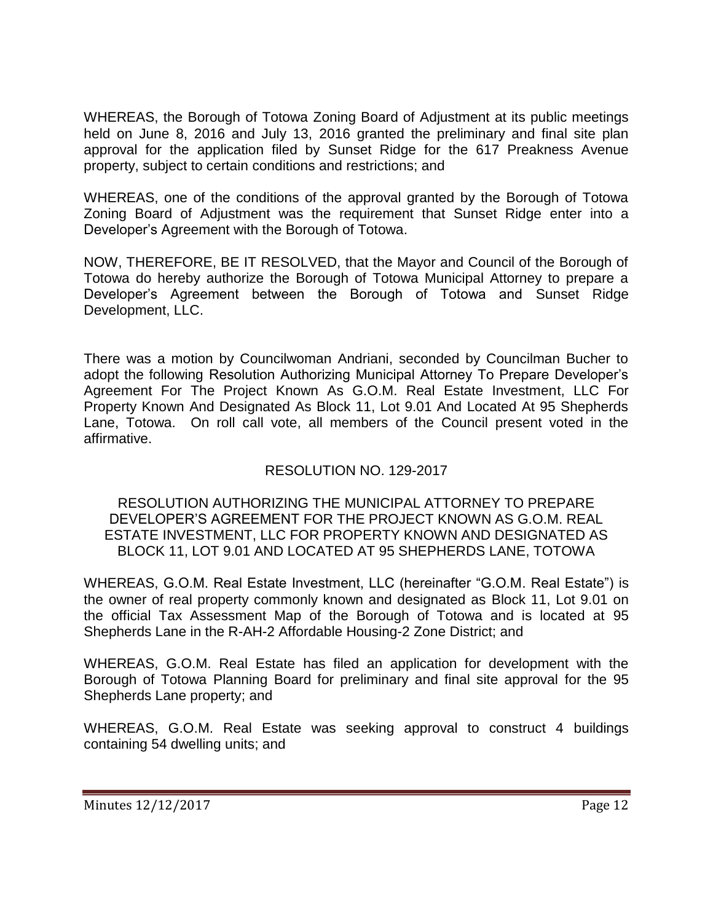WHEREAS, the Borough of Totowa Zoning Board of Adjustment at its public meetings held on June 8, 2016 and July 13, 2016 granted the preliminary and final site plan approval for the application filed by Sunset Ridge for the 617 Preakness Avenue property, subject to certain conditions and restrictions; and

WHEREAS, one of the conditions of the approval granted by the Borough of Totowa Zoning Board of Adjustment was the requirement that Sunset Ridge enter into a Developer's Agreement with the Borough of Totowa.

NOW, THEREFORE, BE IT RESOLVED, that the Mayor and Council of the Borough of Totowa do hereby authorize the Borough of Totowa Municipal Attorney to prepare a Developer's Agreement between the Borough of Totowa and Sunset Ridge Development, LLC.

There was a motion by Councilwoman Andriani, seconded by Councilman Bucher to adopt the following Resolution Authorizing Municipal Attorney To Prepare Developer's Agreement For The Project Known As G.O.M. Real Estate Investment, LLC For Property Known And Designated As Block 11, Lot 9.01 And Located At 95 Shepherds Lane, Totowa. On roll call vote, all members of the Council present voted in the affirmative.

# RESOLUTION NO. 129-2017

### RESOLUTION AUTHORIZING THE MUNICIPAL ATTORNEY TO PREPARE DEVELOPER'S AGREEMENT FOR THE PROJECT KNOWN AS G.O.M. REAL ESTATE INVESTMENT, LLC FOR PROPERTY KNOWN AND DESIGNATED AS BLOCK 11, LOT 9.01 AND LOCATED AT 95 SHEPHERDS LANE, TOTOWA

WHEREAS, G.O.M. Real Estate Investment, LLC (hereinafter "G.O.M. Real Estate") is the owner of real property commonly known and designated as Block 11, Lot 9.01 on the official Tax Assessment Map of the Borough of Totowa and is located at 95 Shepherds Lane in the R-AH-2 Affordable Housing-2 Zone District; and

WHEREAS, G.O.M. Real Estate has filed an application for development with the Borough of Totowa Planning Board for preliminary and final site approval for the 95 Shepherds Lane property; and

WHEREAS, G.O.M. Real Estate was seeking approval to construct 4 buildings containing 54 dwelling units; and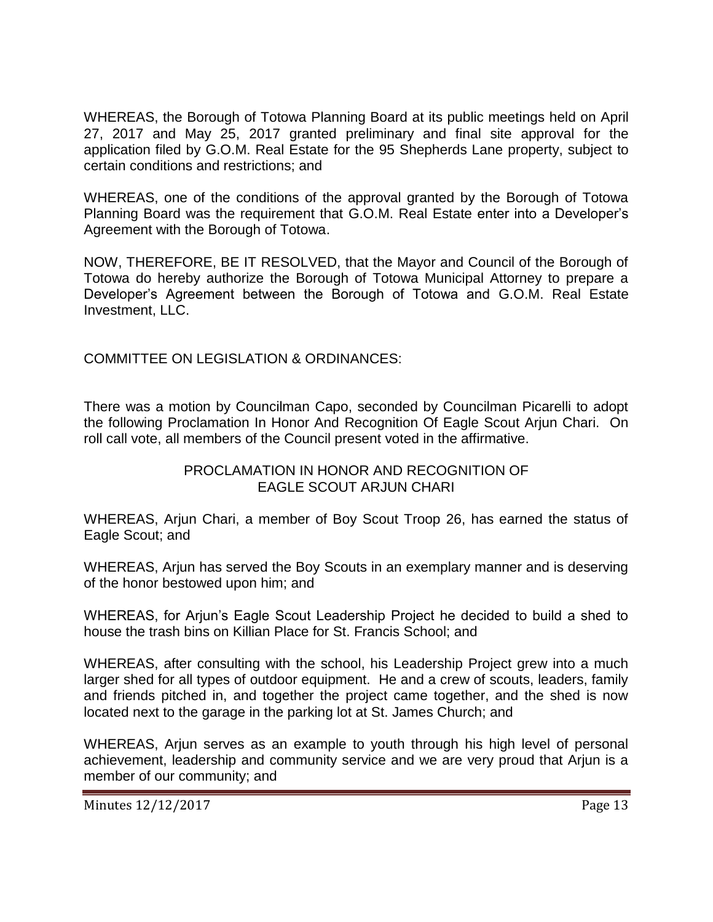WHEREAS, the Borough of Totowa Planning Board at its public meetings held on April 27, 2017 and May 25, 2017 granted preliminary and final site approval for the application filed by G.O.M. Real Estate for the 95 Shepherds Lane property, subject to certain conditions and restrictions; and

WHEREAS, one of the conditions of the approval granted by the Borough of Totowa Planning Board was the requirement that G.O.M. Real Estate enter into a Developer's Agreement with the Borough of Totowa.

NOW, THEREFORE, BE IT RESOLVED, that the Mayor and Council of the Borough of Totowa do hereby authorize the Borough of Totowa Municipal Attorney to prepare a Developer's Agreement between the Borough of Totowa and G.O.M. Real Estate Investment, LLC.

COMMITTEE ON LEGISLATION & ORDINANCES:

There was a motion by Councilman Capo, seconded by Councilman Picarelli to adopt the following Proclamation In Honor And Recognition Of Eagle Scout Arjun Chari. On roll call vote, all members of the Council present voted in the affirmative.

### PROCLAMATION IN HONOR AND RECOGNITION OF EAGLE SCOUT ARJUN CHARI

WHEREAS, Arjun Chari, a member of Boy Scout Troop 26, has earned the status of Eagle Scout; and

WHEREAS, Arjun has served the Boy Scouts in an exemplary manner and is deserving of the honor bestowed upon him; and

WHEREAS, for Arjun's Eagle Scout Leadership Project he decided to build a shed to house the trash bins on Killian Place for St. Francis School; and

WHEREAS, after consulting with the school, his Leadership Project grew into a much larger shed for all types of outdoor equipment. He and a crew of scouts, leaders, family and friends pitched in, and together the project came together, and the shed is now located next to the garage in the parking lot at St. James Church; and

WHEREAS, Arjun serves as an example to youth through his high level of personal achievement, leadership and community service and we are very proud that Arjun is a member of our community; and